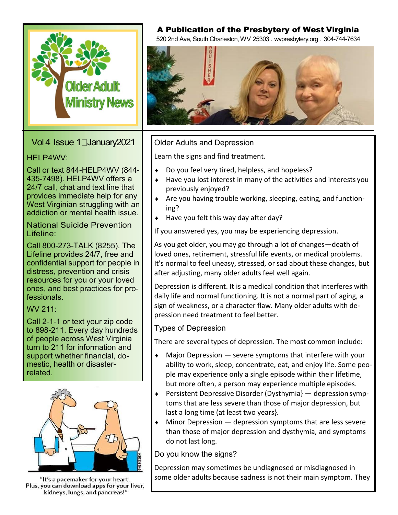

Vol 4 Issue 1 January 2021

## HELP4WV:

Call or text 844-HELP4WV (844- 435-7498). HELP4WV offers a 24/7 call, chat and text line that provides immediate help for any West Virginian struggling with an addiction or mental health issue.

National Suicide Prevention Lifeline:

Call 800-273-TALK (8255). The Lifeline provides 24/7, free and confidential support for people in distress, prevention and crisis resources for you or your loved ones, and best practices for professionals.

WV 211:

Call 2-1-1 or text your zip code to 898-211. Every day hundreds of people across West Virginia turn to 211 for information and support whether financial, domestic, health or disasterrelated.



"It's a pacemaker for your heart. Plus, you can download apps for your liver, kidneys, lungs, and pancreas!"

# A Publication of the Presbytery of West Virginia

520 2nd Ave, South Charleston, WV 25303 . wvpresbytery.org . 304-744-7634



## Older Adults and Depression

Learn the signs and find treatment.

- ◆ Do you feel very tired, helpless, and hopeless?
- Have you lost interest in many of the activities and interests you previously enjoyed?
- $\triangle$  Are you having trouble working, sleeping, eating, and functioning?
- $\bullet$  Have you felt this way day after day?

If you answered yes, you may be experiencing depression.

As you get older, you may go through a lot of changes—death of loved ones, retirement, stressful life events, or medical problems. It's normal to feel uneasy, stressed, or sad about these changes, but after adjusting, many older adults feel well again.

Depression is different. It is a medical condition that interferes with daily life and normal functioning. It is not a normal part of aging, a sign of weakness, or a character flaw. Many older adults with depression need treatment to feel better.

Types of Depression

There are several types of depression. The most common include:

- $\bullet$  Major Depression  $-$  severe symptoms that interfere with your ability to work, sleep, concentrate, eat, and enjoy life. Some people may experience only a single episode within their lifetime, but more often, a person may experience multiple episodes.
- **•** Persistent Depressive Disorder (Dysthymia} depression symptoms that are less severe than those of major depression, but last a long time (at least two years}.
- $\bullet$  Minor Depression  $-$  depression symptoms that are less severe than those of major depression and dysthymia, and symptoms do not last long.

Do you know the signs?

Depression may sometimes be undiagnosed or misdiagnosed in some older adults because sadness is not their main symptom. They